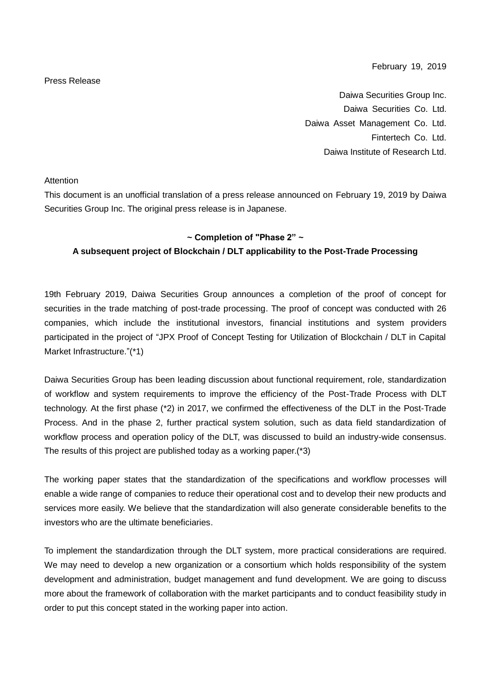#### February 19, 2019

# Daiwa Securities Group Inc. Daiwa Securities Co. Ltd. Daiwa Asset Management Co. Ltd. Fintertech Co. Ltd. Daiwa Institute of Research Ltd.

Attention

This document is an unofficial translation of a press release announced on February 19, 2019 by Daiwa Securities Group Inc. The original press release is in Japanese.

## **~ Completion of "Phase 2" ~**

# **A subsequent project of Blockchain / DLT applicability to the Post-Trade Processing**

19th February 2019, Daiwa Securities Group announces a completion of the proof of concept for securities in the trade matching of post-trade processing. The proof of concept was conducted with 26 companies, which include the institutional investors, financial institutions and system providers participated in the project of "JPX Proof of Concept Testing for Utilization of Blockchain / DLT in Capital Market Infrastructure."(\*1)

Daiwa Securities Group has been leading discussion about functional requirement, role, standardization of workflow and system requirements to improve the efficiency of the Post-Trade Process with DLT technology. At the first phase (\*2) in 2017, we confirmed the effectiveness of the DLT in the Post-Trade Process. And in the phase 2, further practical system solution, such as data field standardization of workflow process and operation policy of the DLT, was discussed to build an industry-wide consensus. The results of this project are published today as a working paper.(\*3)

The working paper states that the standardization of the specifications and workflow processes will enable a wide range of companies to reduce their operational cost and to develop their new products and services more easily. We believe that the standardization will also generate considerable benefits to the investors who are the ultimate beneficiaries.

To implement the standardization through the DLT system, more practical considerations are required. We may need to develop a new organization or a consortium which holds responsibility of the system development and administration, budget management and fund development. We are going to discuss more about the framework of collaboration with the market participants and to conduct feasibility study in order to put this concept stated in the working paper into action.

#### Press Release